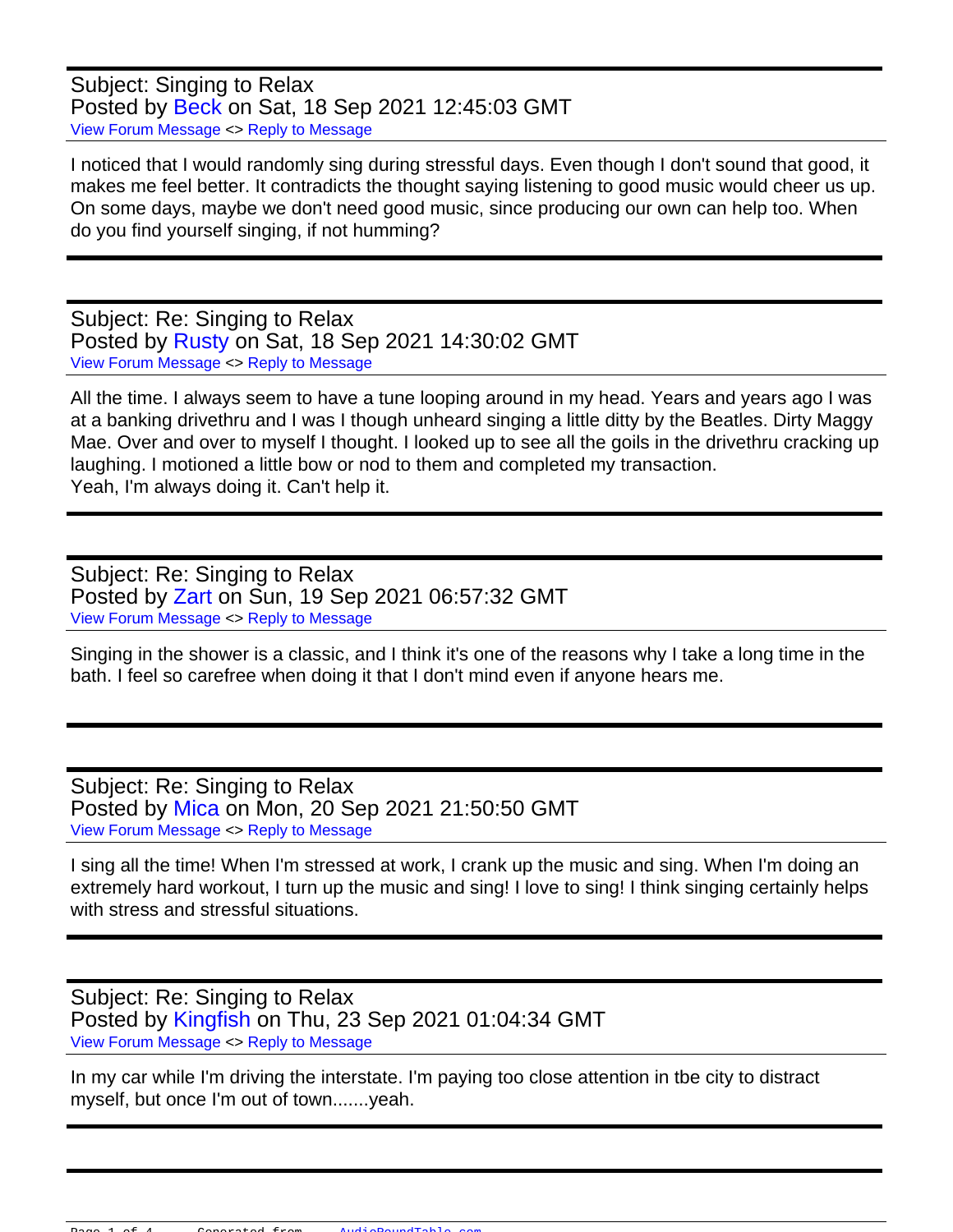Subject: Singing to Relax Posted by [Beck](https://audioroundtable.com/forum/index.php?t=usrinfo&id=8921) on Sat, 18 Sep 2021 12:45:03 GMT [View Forum Message](https://audioroundtable.com/forum/index.php?t=rview&th=23260&goto=94445#msg_94445) <> [Reply to Message](https://audioroundtable.com/forum/index.php?t=post&reply_to=94445)

I noticed that I would randomly sing during stressful days. Even though I don't sound that good, it makes me feel better. It contradicts the thought saying listening to good music would cheer us up. On some days, maybe we don't need good music, since producing our own can help too. When do you find yourself singing, if not humming?

Subject: Re: Singing to Relax Posted by [Rusty](https://audioroundtable.com/forum/index.php?t=usrinfo&id=8363) on Sat, 18 Sep 2021 14:30:02 GMT [View Forum Message](https://audioroundtable.com/forum/index.php?t=rview&th=23260&goto=94446#msg_94446) <> [Reply to Message](https://audioroundtable.com/forum/index.php?t=post&reply_to=94446)

All the time. I always seem to have a tune looping around in my head. Years and years ago I was at a banking drivethru and I was I though unheard singing a little ditty by the Beatles. Dirty Maggy Mae. Over and over to myself I thought. I looked up to see all the goils in the drivethru cracking up laughing. I motioned a little bow or nod to them and completed my transaction. Yeah, I'm always doing it. Can't help it.

Subject: Re: Singing to Relax Posted by [Zart](https://audioroundtable.com/forum/index.php?t=usrinfo&id=8924) on Sun, 19 Sep 2021 06:57:32 GMT [View Forum Message](https://audioroundtable.com/forum/index.php?t=rview&th=23260&goto=94450#msg_94450) <> [Reply to Message](https://audioroundtable.com/forum/index.php?t=post&reply_to=94450)

Singing in the shower is a classic, and I think it's one of the reasons why I take a long time in the bath. I feel so carefree when doing it that I don't mind even if anyone hears me.

Subject: Re: Singing to Relax Posted by [Mica](https://audioroundtable.com/forum/index.php?t=usrinfo&id=8783) on Mon, 20 Sep 2021 21:50:50 GMT [View Forum Message](https://audioroundtable.com/forum/index.php?t=rview&th=23260&goto=94472#msg_94472) <> [Reply to Message](https://audioroundtable.com/forum/index.php?t=post&reply_to=94472)

I sing all the time! When I'm stressed at work, I crank up the music and sing. When I'm doing an extremely hard workout, I turn up the music and sing! I love to sing! I think singing certainly helps with stress and stressful situations.

Subject: Re: Singing to Relax Posted by [Kingfish](https://audioroundtable.com/forum/index.php?t=usrinfo&id=5030) on Thu, 23 Sep 2021 01:04:34 GMT [View Forum Message](https://audioroundtable.com/forum/index.php?t=rview&th=23260&goto=94483#msg_94483) <> [Reply to Message](https://audioroundtable.com/forum/index.php?t=post&reply_to=94483)

In my car while I'm driving the interstate. I'm paying too close attention in tbe city to distract myself, but once I'm out of town.......yeah.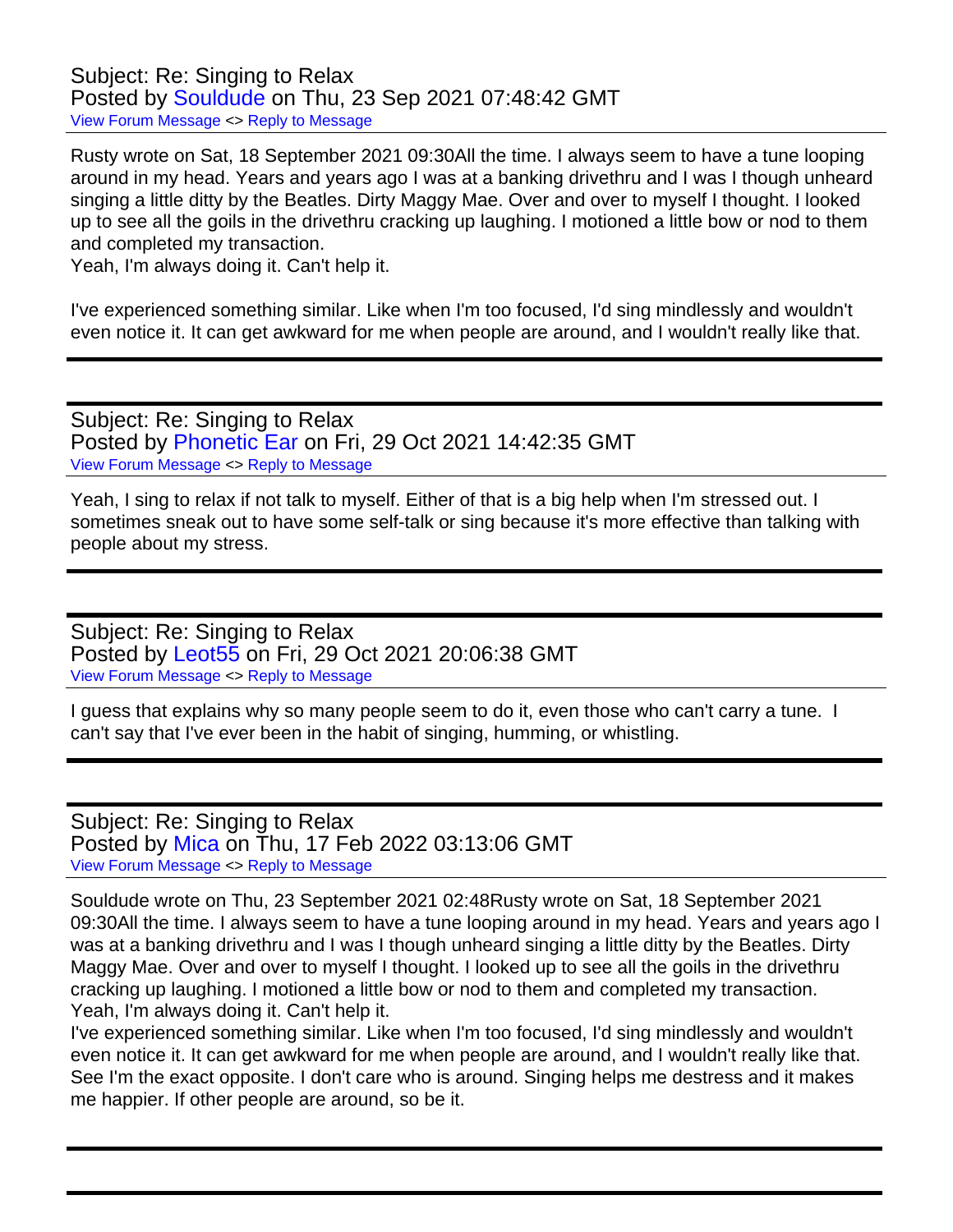Subject: Re: Singing to Relax Posted by [Souldude](https://audioroundtable.com/forum/index.php?t=usrinfo&id=8853) on Thu, 23 Sep 2021 07:48:42 GMT [View Forum Message](https://audioroundtable.com/forum/index.php?t=rview&th=23260&goto=94487#msg_94487) <> [Reply to Message](https://audioroundtable.com/forum/index.php?t=post&reply_to=94487)

Rusty wrote on Sat, 18 September 2021 09:30All the time. I always seem to have a tune looping around in my head. Years and years ago I was at a banking drivethru and I was I though unheard singing a little ditty by the Beatles. Dirty Maggy Mae. Over and over to myself I thought. I looked up to see all the goils in the drivethru cracking up laughing. I motioned a little bow or nod to them and completed my transaction.

Yeah, I'm always doing it. Can't help it.

I've experienced something similar. Like when I'm too focused, I'd sing mindlessly and wouldn't even notice it. It can get awkward for me when people are around, and I wouldn't really like that.

Subject: Re: Singing to Relax Posted by [Phonetic Ear](https://audioroundtable.com/forum/index.php?t=usrinfo&id=8946) on Fri, 29 Oct 2021 14:42:35 GMT [View Forum Message](https://audioroundtable.com/forum/index.php?t=rview&th=23260&goto=94708#msg_94708) <> [Reply to Message](https://audioroundtable.com/forum/index.php?t=post&reply_to=94708)

Yeah, I sing to relax if not talk to myself. Either of that is a big help when I'm stressed out. I sometimes sneak out to have some self-talk or sing because it's more effective than talking with people about my stress.

Subject: Re: Singing to Relax Posted by [Leot55](https://audioroundtable.com/forum/index.php?t=usrinfo&id=7951) on Fri, 29 Oct 2021 20:06:38 GMT [View Forum Message](https://audioroundtable.com/forum/index.php?t=rview&th=23260&goto=94714#msg_94714) <> [Reply to Message](https://audioroundtable.com/forum/index.php?t=post&reply_to=94714)

I guess that explains why so many people seem to do it, even those who can't carry a tune. I can't say that I've ever been in the habit of singing, humming, or whistling.

Subject: Re: Singing to Relax Posted by [Mica](https://audioroundtable.com/forum/index.php?t=usrinfo&id=8783) on Thu, 17 Feb 2022 03:13:06 GMT [View Forum Message](https://audioroundtable.com/forum/index.php?t=rview&th=23260&goto=95246#msg_95246) <> [Reply to Message](https://audioroundtable.com/forum/index.php?t=post&reply_to=95246)

Souldude wrote on Thu, 23 September 2021 02:48Rusty wrote on Sat, 18 September 2021 09:30All the time. I always seem to have a tune looping around in my head. Years and years ago I was at a banking drivethru and I was I though unheard singing a little ditty by the Beatles. Dirty Maggy Mae. Over and over to myself I thought. I looked up to see all the goils in the drivethru cracking up laughing. I motioned a little bow or nod to them and completed my transaction. Yeah, I'm always doing it. Can't help it.

I've experienced something similar. Like when I'm too focused, I'd sing mindlessly and wouldn't even notice it. It can get awkward for me when people are around, and I wouldn't really like that. See I'm the exact opposite. I don't care who is around. Singing helps me destress and it makes me happier. If other people are around, so be it.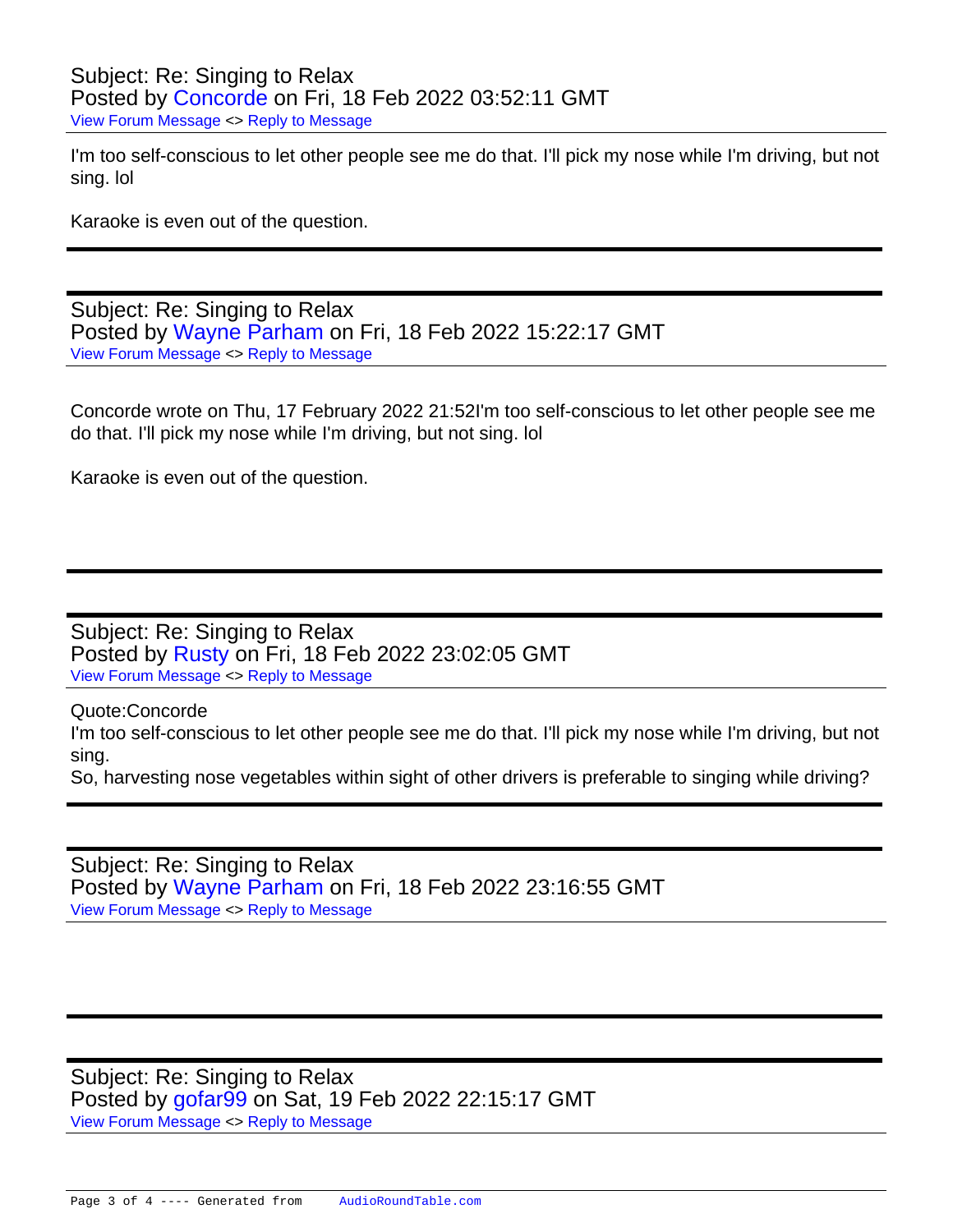I'm too self-conscious to let other people see me do that. I'll pick my nose while I'm driving, but not sing. lol

Karaoke is even out of the question.

Subject: Re: Singing to Relax Posted by [Wayne Parham](https://audioroundtable.com/forum/index.php?t=usrinfo&id=5) on Fri, 18 Feb 2022 15:22:17 GMT [View Forum Message](https://audioroundtable.com/forum/index.php?t=rview&th=23260&goto=95257#msg_95257) <> [Reply to Message](https://audioroundtable.com/forum/index.php?t=post&reply_to=95257)

Concorde wrote on Thu, 17 February 2022 21:52I'm too self-conscious to let other people see me do that. I'll pick my nose while I'm driving, but not sing. lol

Karaoke is even out of the question.

Subject: Re: Singing to Relax Posted by [Rusty](https://audioroundtable.com/forum/index.php?t=usrinfo&id=8363) on Fri, 18 Feb 2022 23:02:05 GMT [View Forum Message](https://audioroundtable.com/forum/index.php?t=rview&th=23260&goto=95258#msg_95258) <> [Reply to Message](https://audioroundtable.com/forum/index.php?t=post&reply_to=95258)

Quote:Concorde 

I'm too self-conscious to let other people see me do that. I'll pick my nose while I'm driving, but not sing.

So, harvesting nose vegetables within sight of other drivers is preferable to singing while driving?

Subject: Re: Singing to Relax Posted by [Wayne Parham](https://audioroundtable.com/forum/index.php?t=usrinfo&id=5) on Fri, 18 Feb 2022 23:16:55 GMT [View Forum Message](https://audioroundtable.com/forum/index.php?t=rview&th=23260&goto=95259#msg_95259) <> [Reply to Message](https://audioroundtable.com/forum/index.php?t=post&reply_to=95259)

Subject: Re: Singing to Relax Posted by [gofar99](https://audioroundtable.com/forum/index.php?t=usrinfo&id=3806) on Sat, 19 Feb 2022 22:15:17 GMT [View Forum Message](https://audioroundtable.com/forum/index.php?t=rview&th=23260&goto=95262#msg_95262) <> [Reply to Message](https://audioroundtable.com/forum/index.php?t=post&reply_to=95262)